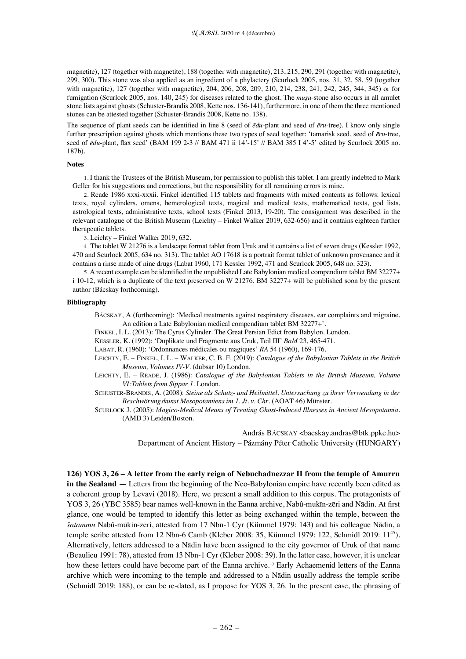magnetite), 127 (together with magnetite), 188 (together with magnetite), 213, 215, 290, 291 (together with magnetite), 299, 300). This stone was also applied as an ingredient of a phylactery (Scurlock 2005, nos. 31, 32, 58, 59 (together with magnetite), 127 (together with magnetite), 204, 206, 208, 209, 210, 214, 238, 241, 242, 245, 344, 345) or for fumigation (Scurlock 2005, nos. 140, 245) for diseases related to the ghost. The *mūṣu*-stone also occurs in all amulet stone lists against ghosts (Schuster-Brandis 2008, Kette nos. 136-141), furthermore, in one of them the three mentioned stones can be attested together (Schuster-Brandis 2008, Kette no. 138).

The sequence of plant seeds can be identified in line 8 (seed of *ēdu*-plant and seed of *ēru*-tree). I know only single further prescription against ghosts which mentions these two types of seed together: 'tamarisk seed, seed of *ēru*-tree, seed of *ēdu*-plant, flax seed' (BAM 199 2-3 // BAM 471 ii 14'-15' // BAM 385 I 4'-5' edited by Scurlock 2005 no. 187b).

### **Notes**

1. I thank the Trustees of the British Museum, for permission to publish this tablet. I am greatly indebted to Mark Geller for his suggestions and corrections, but the responsibility for all remaining errors is mine.

2. Reade 1986 xxxi-xxxii. Finkel identified 115 tablets and fragments with mixed contents as follows: lexical texts, royal cylinders, omens, hemerological texts, magical and medical texts, mathematical texts, god lists, astrological texts, administrative texts, school texts (Finkel 2013, 19-20). The consignment was described in the relevant catalogue of the British Museum (Leichty – Finkel Walker 2019, 632-656) and it contains eighteen further therapeutic tablets.

3. Leichty – Finkel Walker 2019, 632.

4. The tablet W 21276 is a landscape format tablet from Uruk and it contains a list of seven drugs (Kessler 1992, 470 and Scurlock 2005, 634 no. 313). The tablet AO 17618 is a portrait format tablet of unknown provenance and it contains a rinse made of nine drugs (Labat 1960, 171 Kessler 1992, 471 and Scurlock 2005, 648 no. 323).

5. A recent example can be identified in the unpublished Late Babylonian medical compendium tablet BM 32277+ i 10-12, which is a duplicate of the text preserved on W 21276. BM 32277+ will be published soon by the present author (Bácskay forthcoming).

### **Bibliography**

BÁCSKAY, A (forthcoming): 'Medical treatments against respiratory diseases, ear complaints and migraine. An edition a Late Babylonian medical compendium tablet BM 32277+'.

FINKEL, I. L. (2013): The Cyrus Cylinder. The Great Persian Edict from Babylon. London.

KESSLER, K. (1992): 'Duplikate und Fragmente aus Uruk, Teil III' *BaM* 23, 465-471.

LABAT, R. (1960): 'Ordonnances médicales ou magiques' *RA* 54 (1960), 169-176.

LEICHTY, E. – FINKEL, I. L. – WALKER, C. B. F. (2019): *Catalogue of the Babylonian Tablets in the British Museum, Volumes IV-V.* (dubsar 10) London.

LEICHTY, E. – READE, J. (1986): *Catalogue of the Babylonian Tablets in the British Museum, Volume VI:Tablets from Sippar 1*. London.

SCHUSTER-BRANDIS, A. (2008): *Steine als Schutz- und Heilmittel. Untersuchung zu ihrer Verwendung in der Beschwörungskunst Mesopotamiens im 1. Jt. v. Chr.* (AOAT 46) Münster.

SCURLOCK J. (2005): *Magico-Medical Means of Treating Ghost-Induced Illnesses in Ancient Mesopotamia.* (AMD 3) Leiden/Boston.

András BÁCSKAY <br/>bacskay.andras@btk.ppke.hu>

Department of Ancient History – Pázmány Péter Catholic University (HUNGARY)

**126) YOS 3, 26 – A letter from the early reign of Nebuchadnezzar II from the temple of Amurru in the Sealand — Letters from the beginning of the Neo-Babylonian empire have recently been edited as** a coherent group by Levavi (2018). Here, we present a small addition to this corpus. The protagonists of YOS 3, 26 (YBC 3585) bear names well-known in the Eanna archive, Nabû-mukīn-zēri and Nādin. At first glance, one would be tempted to identify this letter as being exchanged within the temple, between the *šatammu* Nabû-mūkin-zēri, attested from 17 Nbn-1 Cyr (Kümmel 1979: 143) and his colleague Nādin, a temple scribe attested from 12 Nbn-6 Camb (Kleber 2008: 35, Kümmel 1979: 122, Schmidl 2019: 11<sup>45</sup>). Alternatively, letters addressed to a Nādin have been assigned to the city governor of Uruk of that name (Beaulieu 1991: 78), attested from 13 Nbn-1 Cyr (Kleber 2008: 39). In the latter case, however, it is unclear how these letters could have become part of the Eanna archive.<sup>1)</sup> Early Achaemenid letters of the Eanna archive which were incoming to the temple and addressed to a Nādin usually address the temple scribe (Schmidl 2019: 188), or can be re-dated, as I propose for YOS 3, 26. In the present case, the phrasing of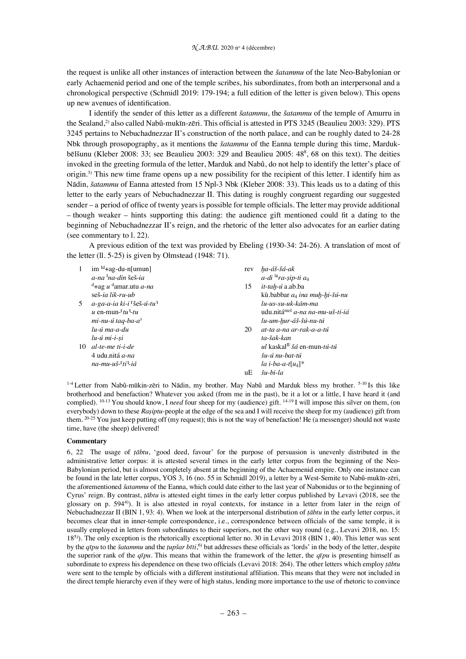the request is unlike all other instances of interaction between the *šatammu* of the late Neo-Babylonian or early Achaemenid period and one of the temple scribes, his subordinates, from both an interpersonal and a chronological perspective (Schmidl 2019: 179-194; a full edition of the letter is given below). This opens up new avenues of identification.

I identify the sender of this letter as a different *šatammu*, the *šatammu* of the temple of Amurru in the Sealand,2) also called Nabû-mukīn-zēri. This official is attested in PTS 3245 (Beaulieu 2003: 329). PTS 3245 pertains to Nebuchadnezzar II's construction of the north palace, and can be roughly dated to 24-28 Nbk through prosopography, as it mentions the *šatammu* of the Eanna temple during this time, Mardukbēlšunu (Kleber 2008: 33; see Beaulieu 2003: 329 and Beaulieu 2005: 48<sup>8</sup>, 68 on this text). The deities invoked in the greeting formula of the letter, Marduk and Nabû, do not help to identify the letter's place of origin.3) This new time frame opens up a new possibility for the recipient of this letter. I identify him as Nādin, *šatammu* of Eanna attested from 15 Npl-3 Nbk (Kleber 2008: 33). This leads us to a dating of this letter to the early years of Nebuchadnezzar II. This dating is roughly congruent regarding our suggested sender – a period of office of twenty years is possible for temple officials. The letter may provide additional – though weaker – hints supporting this dating: the audience gift mentioned could fit a dating to the beginning of Nebuchadnezzar II's reign, and the rhetoric of the letter also advocates for an earlier dating (see commentary to l. 22).

A previous edition of the text was provided by Ebeling (1930-34: 24-26). A translation of most of the letter (ll. 5-25) is given by Olmstead (1948: 71).

| 1  | $im$ <sup>Id</sup> +ag-du-n[umun]                    | rev | ha-áš-šá-ak                                    |
|----|------------------------------------------------------|-----|------------------------------------------------|
|    | $a$ -na $\frac{1}{2}$ na-din šeš-ia                  |     | $a$ -di $\frac{16}{10}$ ra-sip-ti $a_4$        |
|    | <sup>d</sup> +ag u <sup>d</sup> amar.utu <i>a-na</i> | 15  | <i>it-tah-ú</i> a.ab.ba                        |
|    | seš-ia lik-ru-ub                                     |     | kù babbar a <sub>4</sub> ina muh-hi-šú-nu      |
| 5  | $a$ -ga-a-ia ki-i [šeš-ú-tu]                         |     | lu-us-su-uk-kám-ma                             |
|    | u en-mun- $\tau$ tu <sup>1</sup> -tu                 |     | udu.nitá <sup>meš</sup> a-na na-mu-uš-ti-iá    |
|    | mi-nu-ú taq-ba-a <sup>?</sup>                        |     | lu-um-hur-áš-šú-nu-tú                          |
|    | lu-ú ma-a-du                                         | 20  | at-ta a-na ar-rak-a-a-tú                       |
|    | lu-ú mi-i-si                                         |     | ta-šak-kan                                     |
| 10 | al-te-me ti-i-de                                     |     | <i>ul</i> kaskal <sup>II</sup> šá en-mun-tú-tú |
|    | 4 udu nitá $a$ -na                                   |     | šu-ú nu-bat-tú                                 |
|    | na-mu-uš- <sup>r</sup> ti <sup>n</sup> -iá           |     | la i-ba-a-t[u <sub>4</sub> ]*                  |
|    |                                                      | uЕ  | $\check{S}$ u-bi-la                            |

<sup>1-4</sup> Letter from Nabû-mūkin-zēri to Nādin, my brother. May Nabû and Marduk bless my brother. <sup>5-10</sup> Is this like brotherhood and benefaction? Whatever you asked (from me in the past), be it a lot or a little, I have heard it (and complied). 10-13 You should know, I *need* four sheep for my (audience) gift. 14-19 I will impose this silver on them, (on everybody) down to these *Raṣiptu-*people at the edge of the sea and I will receive the sheep for my (audience) gift from them.  $20-25$  You just keep putting off (my request); this is not the way of benefaction! He (a messenger) should not waste time, have (the sheep) delivered!

# **Commentary**

6, 22 The usage of *ṭābtu*, 'good deed, favour' for the purpose of persuasion is unevenly distributed in the administrative letter corpus: it is attested several times in the early letter corpus from the beginning of the Neo-Babylonian period, but is almost completely absent at the beginning of the Achaemenid empire. Only one instance can be found in the late letter corpus, YOS 3, 16 (no. 55 in Schmidl 2019), a letter by a West-Semite to Nabû-mukīn-zēri, the aforementioned *šatammu* of the Eanna, which could date either to the last year of Nabonidus or to the beginning of Cyrus' reign. By contrast, *ṭābtu* is attested eight times in the early letter corpus published by Levavi (2018, see the glossary on p. 5944)). It is also attested in royal contexts, for instance in a letter from later in the reign of Nebuchadnezzar II (BIN 1, 93: 4). When we look at the interpersonal distribution of *ṭābtu* in the early letter corpus, it becomes clear that in inner-temple correspondence, i.e., correspondence between officials of the same temple, it is usually employed in letters from subordinates to their superiors, not the other way round (e.g., Levavi 2018, no. 15: 185)). The only exception is the rhetorically exceptional letter no. 30 in Levavi 2018 (BIN 1, 40). This letter was sent by the *qīpu* to the *šatammu* and the *ṭupšar bīti*, 6) but addresses these officials as 'lords' in the body of the letter, despite the superior rank of the  $q\bar{q}pu$ . This means that within the framework of the letter, the  $q\bar{q}pu$  is presenting himself as subordinate to express his dependence on these two officials (Levavi 2018: 264). The other letters which employ *ṭābtu* were sent to the temple by officials with a different institutional affiliation. This means that they were not included in the direct temple hierarchy even if they were of high status, lending more importance to the use of rhetoric to convince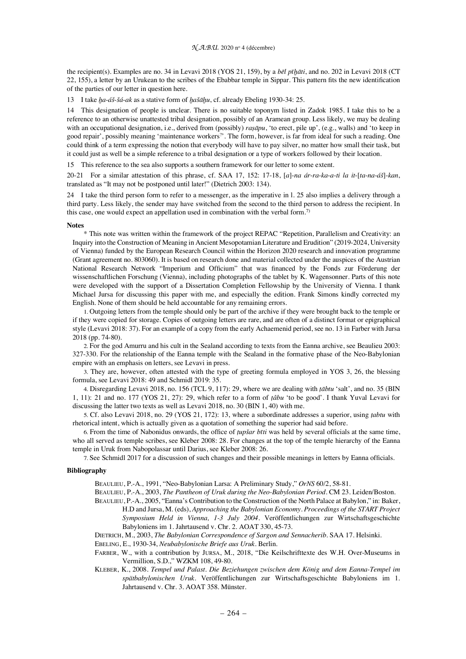the recipient(s). Examples are no. 34 in Levavi 2018 (YOS 21, 159), by a *bēl pīḫāti*, and no. 202 in Levavi 2018 (CT 22, 155), a letter by an Urukean to the scribes of the Ebabbar temple in Sippar. This pattern fits the new identification of the parties of our letter in question here.

13 I take *ḫa*-*áš*-*šá*-*ak* as a stative form of *ḫašāḫu*, cf. already Ebeling 1930-34: 25.

14 This designation of people is unclear. There is no suitable toponym listed in Zadok 1985. I take this to be a reference to an otherwise unattested tribal designation, possibly of an Aramean group. Less likely, we may be dealing with an occupational designation, i.e., derived from (possibly) *rasāpu*, 'to erect, pile up', (e.g., walls) and 'to keep in good repair', possibly meaning 'maintenance workers? '. The form, however, is far from ideal for such a reading. One could think of a term expressing the notion that everybody will have to pay silver, no matter how small their task, but it could just as well be a simple reference to a tribal designation or a type of workers followed by their location.

15 This reference to the sea also supports a southern framework for our letter to some extent.

20-21 For a similar attestation of this phrase, cf. SAA 17, 152: 17-18, [*a*]-*na ár*-*ra*-*ka*-*a*-*ti la it*-[*ta*-*na*-*áš*]-*kan*, translated as "It may not be postponed until later!" (Dietrich 2003: 134).

24 I take the third person form to refer to a messenger, as the imperative in l. 25 also implies a delivery through a third party. Less likely, the sender may have switched from the second to the third person to address the recipient. In this case, one would expect an appellation used in combination with the verbal form.<sup>7)</sup>

#### **Notes**

\* This note was written within the framework of the project REPAC "Repetition, Parallelism and Creativity: an Inquiry into the Construction of Meaning in Ancient Mesopotamian Literature and Erudition" (2019-2024, University of Vienna) funded by the European Research Council within the Horizon 2020 research and innovation programme (Grant agreement no. 803060). It is based on research done and material collected under the auspices of the Austrian National Research Network "Imperium and Officium" that was financed by the Fonds zur Förderung der wissenschaftlichen Forschung (Vienna), including photographs of the tablet by K. Wagensonner. Parts of this note were developed with the support of a Dissertation Completion Fellowship by the University of Vienna. I thank Michael Jursa for discussing this paper with me, and especially the edition. Frank Simons kindly corrected my English. None of them should be held accountable for any remaining errors.

1. Outgoing letters from the temple should only be part of the archive if they were brought back to the temple or if they were copied for storage. Copies of outgoing letters are rare, and are often of a distinct format or epigraphical style (Levavi 2018: 37). For an example of a copy from the early Achaemenid period, see no. 13 in Farber with Jursa 2018 (pp. 74-80).

2. For the god Amurru and his cult in the Sealand according to texts from the Eanna archive, see Beaulieu 2003: 327-330. For the relationship of the Eanna temple with the Sealand in the formative phase of the Neo-Babylonian empire with an emphasis on letters, see Levavi in press.

3. They are, however, often attested with the type of greeting formula employed in YOS 3, 26, the blessing formula, see Levavi 2018: 49 and Schmidl 2019: 35.

4. Disregarding Levavi 2018, no. 156 (TCL 9, 117): 29, where we are dealing with *ṭābtu* 'salt', and no. 35 (BIN 1, 11): 21 and no. 177 (YOS 21, 27): 29, which refer to a form of *ṭâbu* 'to be good'. I thank Yuval Levavi for discussing the latter two texts as well as Levavi 2018, no. 30 (BIN 1, 40) with me.

5. Cf. also Levavi 2018, no. 29 (YOS 21, 172): 13, where a subordinate addresses a superior, using *ṭabtu* with rhetorical intent, which is actually given as a quotation of something the superior had said before.

6. From the time of Nabonidus onwards, the office of *ṭupšar bīti* was held by several officials at the same time, who all served as temple scribes, see Kleber 2008: 28. For changes at the top of the temple hierarchy of the Eanna temple in Uruk from Nabopolassar until Darius, see Kleber 2008: 26.

7. See Schmidl 2017 for a discussion of such changes and their possible meanings in letters by Eanna officials.

## **Bibliography**

BEAULIEU, P.-A., 1991, "Neo-Babylonian Larsa: A Preliminary Study," *OrNS* 60/2, 58-81.

BEAULIEU, P.-A., 2003, *The Pantheon of Uruk during the Neo-Babylonian Period*. CM 23. Leiden/Boston.

- BEAULIEU, P.-A., 2005, "Eanna's Contribution to the Construction of the North Palace at Babylon," in: Baker, H.D and Jursa, M. (eds), *Approaching the Babylonian Economy. Proceedings of the START Project Symposium Held in Vienna, 1-3 July 2004*. Veröffentlichungen zur Wirtschaftsgeschichte Babyloniens im 1. Jahrtausend v. Chr. 2. AOAT 330, 45-73.
- DIETRICH, M., 2003, *The Babylonian Correspondence of Sargon and Sennacherib*. SAA 17. Helsinki.
- EBELING, E., 1930-34, *Neubabylonische Briefe aus Uruk*. Berlin.
- FARBER, W., with a contribution by JURSA, M., 2018, "Die Keilschrifttexte des W.H. Over-Museums in Vermillion, S.D.," WZKM 108, 49-80.
- KLEBER, K., 2008. *Tempel und Palast. Die Beziehungen zwischen dem König und dem Eanna-Tempel im spätbabylonischen Uruk*. Veröffentlichungen zur Wirtschaftsgeschichte Babyloniens im 1. Jahrtausend v. Chr. 3. AOAT 358. Münster.